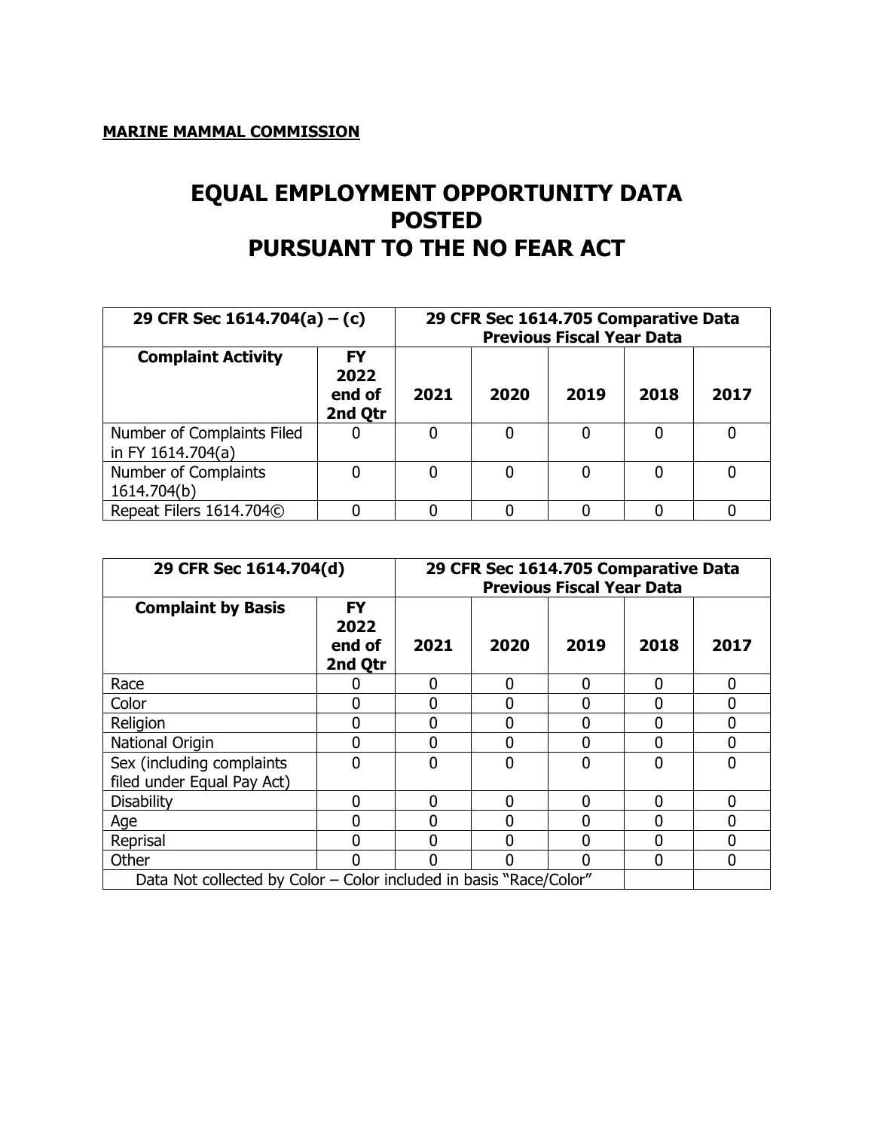## **MARINE MAMMAL COMMISSION**

## **EQUAL EMPLOYMENT OPPORTUNITY DATA POSTED PURSUANT TO THE NO FEAR ACT**

| 29 CFR Sec $1614.704(a) - (c)$                  |                                 | 29 CFR Sec 1614.705 Comparative Data<br><b>Previous Fiscal Year Data</b> |      |      |      |   |  |  |  |
|-------------------------------------------------|---------------------------------|--------------------------------------------------------------------------|------|------|------|---|--|--|--|
| <b>Complaint Activity</b>                       | FY<br>2022<br>end of<br>2nd Qtr | 2021                                                                     | 2019 | 2018 | 2017 |   |  |  |  |
| Number of Complaints Filed<br>in FY 1614.704(a) |                                 |                                                                          | U    |      | 0    | 0 |  |  |  |
| Number of Complaints<br>1614.704(b)             |                                 |                                                                          |      |      | 0    |   |  |  |  |
| Repeat Filers 1614.704C                         |                                 |                                                                          |      |      |      |   |  |  |  |

| 29 CFR Sec 1614.704(d)                                             |                                        | 29 CFR Sec 1614.705 Comparative Data<br><b>Previous Fiscal Year Data</b> |      |      |          |                |  |  |
|--------------------------------------------------------------------|----------------------------------------|--------------------------------------------------------------------------|------|------|----------|----------------|--|--|
| <b>Complaint by Basis</b>                                          | <b>FY</b><br>2022<br>end of<br>2nd Qtr | 2021                                                                     | 2020 | 2018 | 2017     |                |  |  |
| Race                                                               |                                        | 0                                                                        | 0    | 0    | 0        | $\mathbf 0$    |  |  |
| Color                                                              | n                                      | 0                                                                        |      |      | 0        | $\Omega$       |  |  |
| Religion                                                           | 0                                      | 0                                                                        | 0    | 0    | 0        | 0              |  |  |
| National Origin                                                    | 0                                      | O                                                                        | N    | ი    | 0        | $\Omega$       |  |  |
| Sex (including complaints<br>filed under Equal Pay Act)            | $\Omega$                               | O                                                                        | U    | 0    | $\Omega$ | $\Omega$       |  |  |
| <b>Disability</b>                                                  | N                                      | O                                                                        | n    | N    | U        | $\Omega$       |  |  |
| Age                                                                | 0                                      | 0                                                                        |      | ი    | 0        | $\overline{0}$ |  |  |
| Reprisal                                                           | ŋ                                      |                                                                          |      |      | 0        | 0              |  |  |
| Other                                                              |                                        |                                                                          |      | በ    | 0        | $\Omega$       |  |  |
| Data Not collected by Color - Color included in basis "Race/Color" |                                        |                                                                          |      |      |          |                |  |  |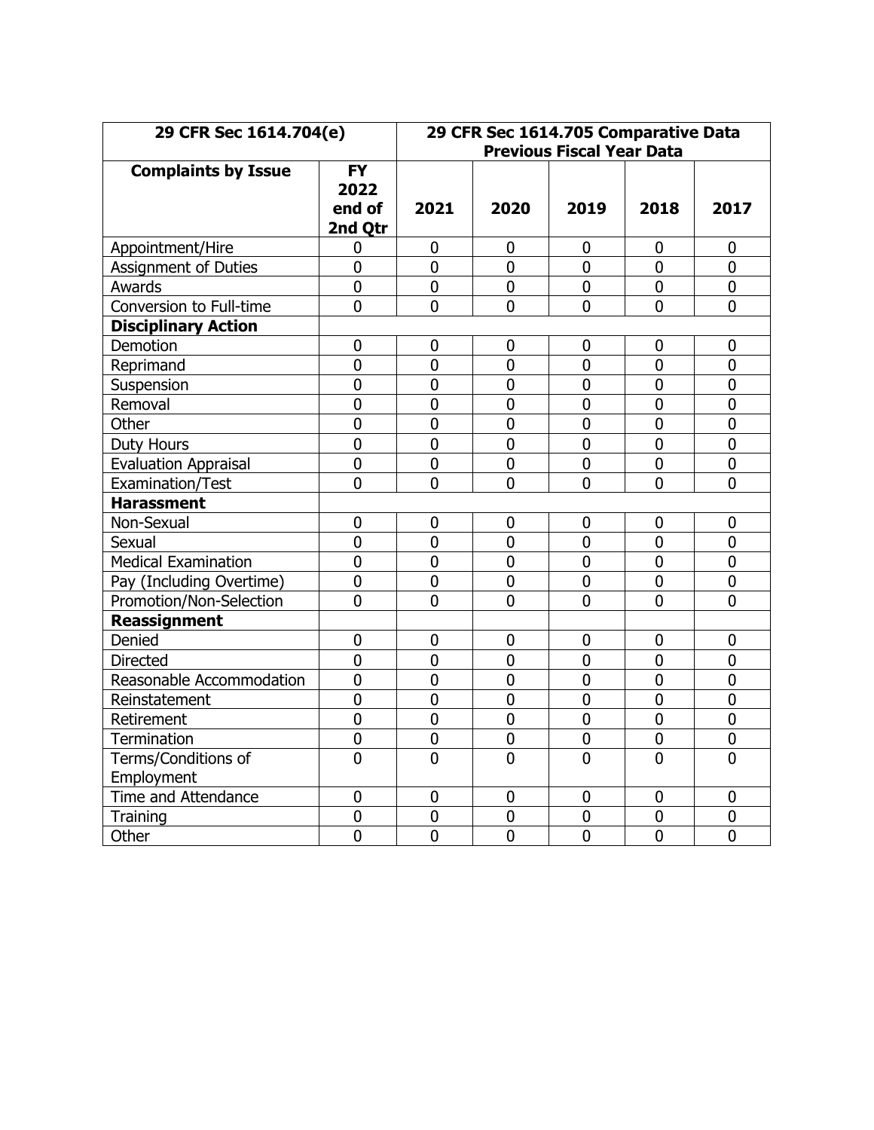| 29 CFR Sec 1614.704(e)            |                                        | 29 CFR Sec 1614.705 Comparative Data<br><b>Previous Fiscal Year Data</b> |                |                |                |                  |
|-----------------------------------|----------------------------------------|--------------------------------------------------------------------------|----------------|----------------|----------------|------------------|
| <b>Complaints by Issue</b>        | <b>FY</b><br>2022<br>end of<br>2nd Qtr | 2021                                                                     | 2020           | 2019           | 2018           | 2017             |
| Appointment/Hire                  | 0                                      | 0                                                                        | $\mathbf 0$    | $\mathbf 0$    | 0              | $\mathbf 0$      |
| <b>Assignment of Duties</b>       | $\mathbf 0$                            | 0                                                                        | $\mathbf 0$    | $\mathbf 0$    | 0              | $\mathbf 0$      |
| Awards                            | $\mathbf 0$                            | $\mathbf 0$                                                              | 0              | $\mathbf 0$    | $\mathbf 0$    | $\mathbf 0$      |
| Conversion to Full-time           | $\overline{0}$                         | 0                                                                        | $\mathbf 0$    | $\overline{0}$ | $\overline{0}$ | $\overline{0}$   |
| <b>Disciplinary Action</b>        |                                        |                                                                          |                |                |                |                  |
| Demotion                          | $\mathbf 0$                            | 0                                                                        | 0              | 0              | 0              | $\mathbf 0$      |
| Reprimand                         | $\mathbf 0$                            | 0                                                                        | $\mathbf 0$    | $\mathbf 0$    | 0              | $\mathbf 0$      |
| Suspension                        | $\mathbf 0$                            | $\overline{0}$                                                           | $\overline{0}$ | $\mathbf 0$    | $\overline{0}$ | $\mathbf 0$      |
| Removal                           | $\mathbf 0$                            | 0                                                                        | $\mathbf 0$    | $\mathbf 0$    | 0              | $\mathbf 0$      |
| Other                             | $\mathbf 0$                            | 0                                                                        | $\mathbf 0$    | $\mathbf 0$    | 0              | $\mathbf 0$      |
| <b>Duty Hours</b>                 | $\mathbf 0$                            | $\overline{0}$                                                           | $\overline{0}$ | $\mathbf 0$    | $\overline{0}$ | $\overline{0}$   |
| <b>Evaluation Appraisal</b>       | 0                                      | $\overline{0}$                                                           | $\mathbf 0$    | $\mathbf 0$    | 0              | $\mathbf 0$      |
| Examination/Test                  | $\overline{0}$                         | $\overline{0}$                                                           | $\overline{0}$ | $\overline{0}$ | $\overline{0}$ | $\overline{0}$   |
| <b>Harassment</b>                 |                                        |                                                                          |                |                |                |                  |
| Non-Sexual                        | 0                                      | 0                                                                        | 0              | $\mathbf 0$    | $\mathbf 0$    | $\boldsymbol{0}$ |
| Sexual                            | $\mathbf 0$                            | $\overline{0}$                                                           | $\overline{0}$ | $\mathbf 0$    | $\mathbf 0$    | $\mathbf 0$      |
| <b>Medical Examination</b>        | $\mathbf 0$                            | $\overline{0}$                                                           | $\overline{0}$ | $\mathbf 0$    | $\mathbf 0$    | $\overline{0}$   |
| Pay (Including Overtime)          | $\mathbf 0$                            | $\overline{0}$                                                           | $\overline{0}$ | $\overline{0}$ | $\overline{0}$ | $\overline{0}$   |
| Promotion/Non-Selection           | $\mathbf 0$                            | $\overline{0}$                                                           | $\overline{0}$ | $\mathbf 0$    | $\overline{0}$ | $\overline{0}$   |
| <b>Reassignment</b>               |                                        |                                                                          |                |                |                |                  |
| Denied                            | $\mathbf 0$                            | $\overline{0}$                                                           | $\mathbf 0$    | $\overline{0}$ | 0              | $\mathbf 0$      |
| <b>Directed</b>                   | $\overline{0}$                         | $\overline{0}$                                                           | $\overline{0}$ | $\overline{0}$ | 0              | $\overline{0}$   |
| Reasonable Accommodation          | $\overline{0}$                         | $\overline{0}$                                                           | $\overline{0}$ | $\overline{0}$ | $\overline{0}$ | $\overline{0}$   |
| Reinstatement                     | $\mathbf 0$                            | $\overline{0}$                                                           | $\overline{0}$ | $\mathbf 0$    | 0              | $\overline{0}$   |
| Retirement                        | $\mathbf 0$                            | $\overline{0}$                                                           | $\overline{0}$ | $\mathbf 0$    | $\overline{0}$ | $\overline{0}$   |
| Termination                       | $\mathbf 0$                            | 0                                                                        | $\mathbf 0$    | $\mathbf 0$    | $\mathbf 0$    | $\mathbf 0$      |
| Terms/Conditions of<br>Employment | $\overline{0}$                         | $\overline{0}$                                                           | $\overline{0}$ | $\overline{0}$ | $\overline{0}$ | $\overline{0}$   |
| Time and Attendance               | $\mathbf 0$                            | 0                                                                        | $\mathbf 0$    | $\mathbf 0$    | $\mathbf 0$    | $\mathbf 0$      |
| Training                          | $\mathbf 0$                            | $\mathbf 0$                                                              | $\mathbf 0$    | $\mathbf 0$    | $\mathbf 0$    | $\mathbf 0$      |
| Other                             | $\overline{0}$                         | $\overline{0}$                                                           | $\overline{0}$ | $\overline{0}$ | $\overline{0}$ | $\overline{0}$   |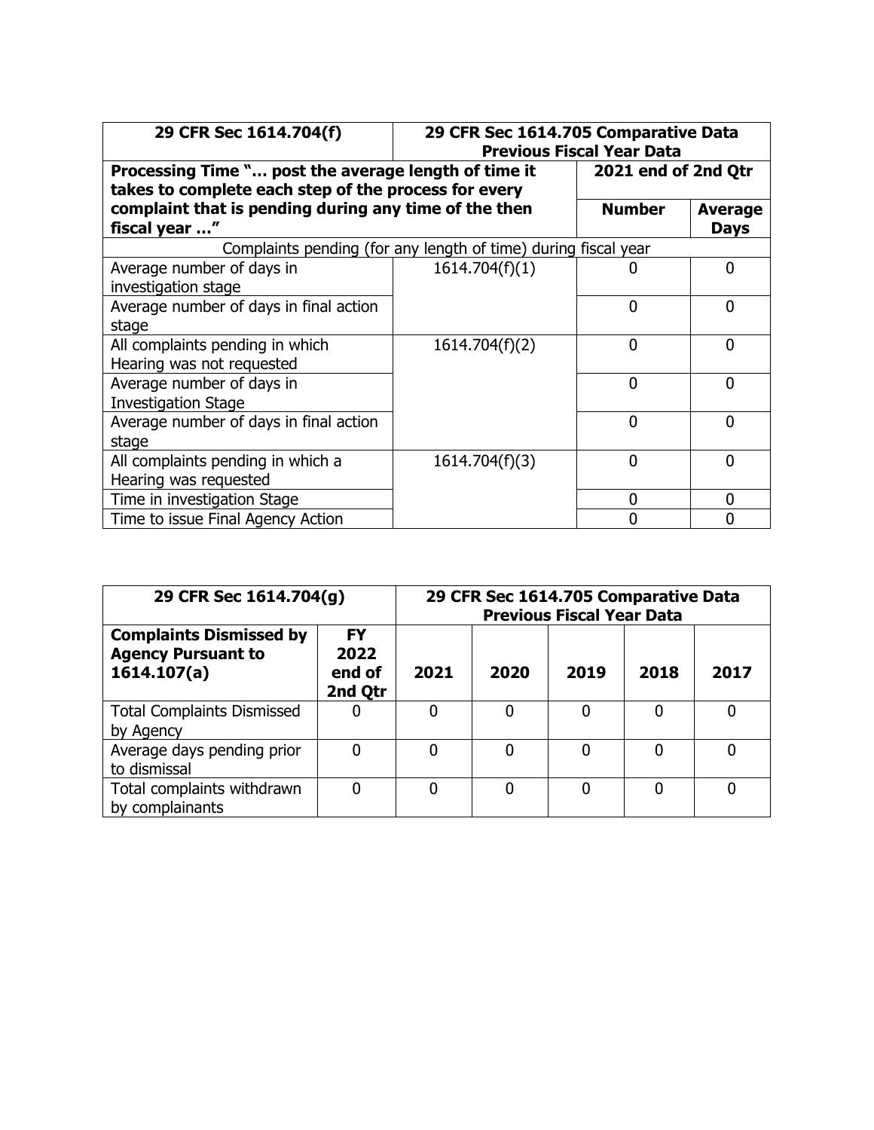| 29 CFR Sec 1614.704(f)                                                                                       | 29 CFR Sec 1614.705 Comparative Data<br><b>Previous Fiscal Year Data</b> |                     |                               |  |  |  |  |  |  |  |
|--------------------------------------------------------------------------------------------------------------|--------------------------------------------------------------------------|---------------------|-------------------------------|--|--|--|--|--|--|--|
| Processing Time " post the average length of time it<br>takes to complete each step of the process for every |                                                                          | 2021 end of 2nd Qtr |                               |  |  |  |  |  |  |  |
| complaint that is pending during any time of the then<br>fiscal year "                                       |                                                                          | <b>Number</b>       | <b>Average</b><br><b>Days</b> |  |  |  |  |  |  |  |
| Complaints pending (for any length of time) during fiscal year                                               |                                                                          |                     |                               |  |  |  |  |  |  |  |
| Average number of days in<br>investigation stage                                                             | 1614.704(f)(1)                                                           |                     | 0                             |  |  |  |  |  |  |  |
| Average number of days in final action<br>stage                                                              |                                                                          | $\mathbf{0}$        | $\overline{0}$                |  |  |  |  |  |  |  |
| All complaints pending in which<br>Hearing was not requested                                                 | 1614.704(f)(2)                                                           | $\Omega$            | 0                             |  |  |  |  |  |  |  |
| Average number of days in<br><b>Investigation Stage</b>                                                      |                                                                          | $\mathbf 0$         | $\Omega$                      |  |  |  |  |  |  |  |
| Average number of days in final action<br>stage                                                              |                                                                          | $\Omega$            | 0                             |  |  |  |  |  |  |  |
| All complaints pending in which a<br>Hearing was requested                                                   | 1614.704(f)(3)                                                           | $\Omega$            | 0                             |  |  |  |  |  |  |  |
| Time in investigation Stage                                                                                  |                                                                          | 0                   | 0                             |  |  |  |  |  |  |  |
| Time to issue Final Agency Action                                                                            |                                                                          | N                   | 0                             |  |  |  |  |  |  |  |

| 29 CFR Sec 1614.704(g)                                                     | 29 CFR Sec 1614.705 Comparative Data<br><b>Previous Fiscal Year Data</b> |      |      |      |      |      |  |
|----------------------------------------------------------------------------|--------------------------------------------------------------------------|------|------|------|------|------|--|
| <b>Complaints Dismissed by</b><br><b>Agency Pursuant to</b><br>1614.107(a) | <b>FY</b><br>2022<br>end of<br>2nd Qtr                                   | 2021 | 2020 | 2019 | 2018 | 2017 |  |
| <b>Total Complaints Dismissed</b><br>by Agency                             | 0                                                                        |      |      | 0    | 0    | 0    |  |
| Average days pending prior<br>to dismissal                                 | $\mathbf 0$                                                              |      | 0    | 0    | 0    | 0    |  |
| Total complaints withdrawn<br>by complainants                              | 0                                                                        |      | 0    | 0    | 0    | O    |  |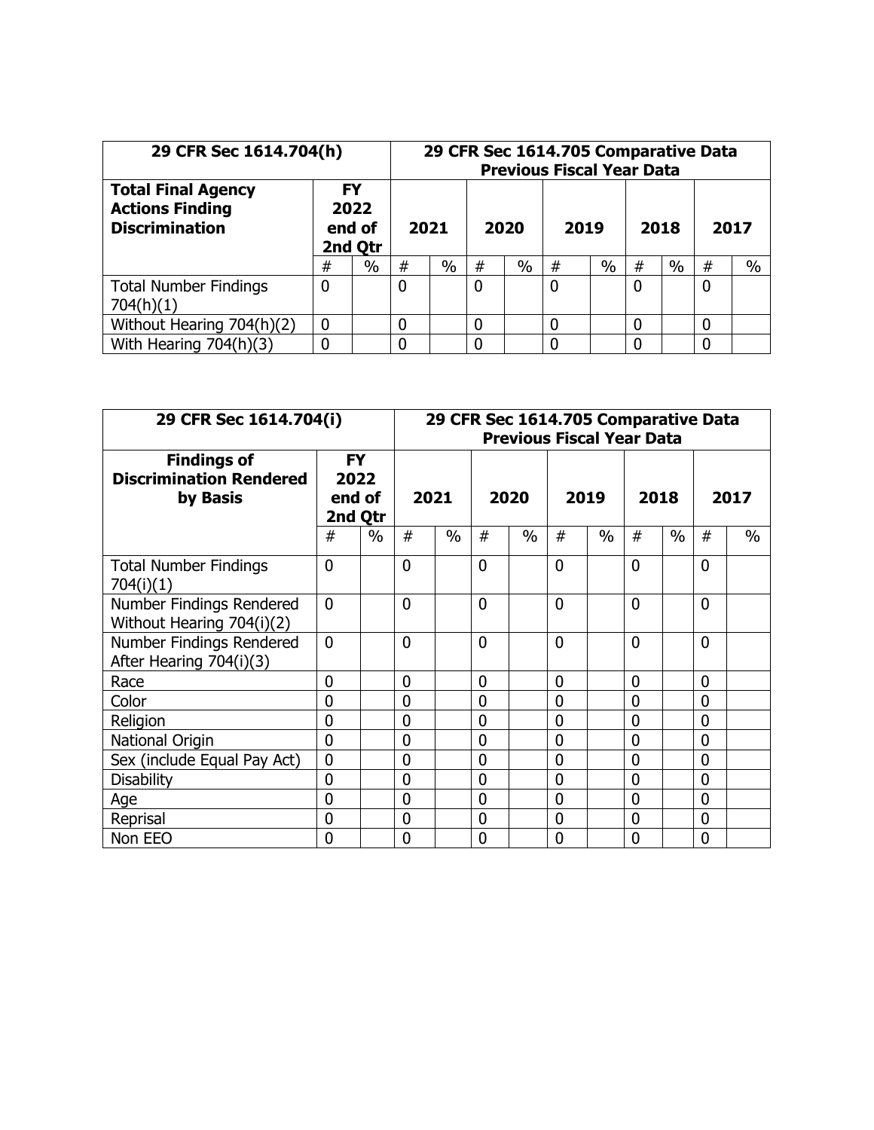| 29 CFR Sec 1614.704(h)                                                       |                                        |      | 29 CFR Sec 1614.705 Comparative Data<br><b>Previous Fiscal Year Data</b> |               |   |               |   |      |   |      |   |               |
|------------------------------------------------------------------------------|----------------------------------------|------|--------------------------------------------------------------------------|---------------|---|---------------|---|------|---|------|---|---------------|
| <b>Total Final Agency</b><br><b>Actions Finding</b><br><b>Discrimination</b> | <b>FY</b><br>2022<br>end of<br>2nd Qtr |      |                                                                          | 2021<br>2020  |   | 2019          |   | 2018 |   | 2017 |   |               |
|                                                                              | #                                      | $\%$ | #                                                                        | $\frac{0}{0}$ | # | $\frac{0}{0}$ | # | %    | # | $\%$ | # | $\frac{0}{0}$ |
| <b>Total Number Findings</b><br>704(h)(1)                                    | 0                                      |      | 0                                                                        |               | 0 |               | 0 |      | 0 |      | 0 |               |
| Without Hearing 704(h)(2)                                                    | 0                                      |      | 0                                                                        |               | 0 |               |   |      |   |      | 0 |               |
| With Hearing $704(h)(3)$                                                     |                                        |      |                                                                          |               | ი |               |   |      |   |      | 0 |               |

| 29 CFR Sec 1614.704(i)                                           |                                        |      | 29 CFR Sec 1614.705 Comparative Data<br><b>Previous Fiscal Year Data</b> |      |                |      |                |      |                |      |                |      |
|------------------------------------------------------------------|----------------------------------------|------|--------------------------------------------------------------------------|------|----------------|------|----------------|------|----------------|------|----------------|------|
| <b>Findings of</b><br><b>Discrimination Rendered</b><br>by Basis | <b>FY</b><br>2022<br>end of<br>2nd Qtr |      | 2021                                                                     |      | 2020           |      | 2019           |      | 2018           |      | 2017           |      |
|                                                                  | #                                      | $\%$ | #                                                                        | $\%$ | #              | $\%$ | #              | $\%$ | #              | $\%$ | #              | $\%$ |
| <b>Total Number Findings</b><br>704(i)(1)                        | $\overline{0}$                         |      | $\overline{0}$                                                           |      | $\overline{0}$ |      | $\overline{0}$ |      | $\overline{0}$ |      | $\mathbf{0}$   |      |
| Number Findings Rendered<br>Without Hearing 704(i)(2)            | $\Omega$                               |      | 0                                                                        |      | $\Omega$       |      | $\Omega$       |      | $\Omega$       |      | $\Omega$       |      |
| Number Findings Rendered<br>After Hearing 704(i)(3)              | $\mathbf{0}$                           |      | 0                                                                        |      | $\mathbf 0$    |      | $\overline{0}$ |      | $\overline{0}$ |      | 0              |      |
| Race                                                             | $\overline{0}$                         |      | 0                                                                        |      | 0              |      | $\mathbf 0$    |      | $\mathbf{0}$   |      | $\mathbf{0}$   |      |
| Color                                                            | 0                                      |      | 0                                                                        |      | 0              |      | $\overline{0}$ |      | $\overline{0}$ |      | $\mathbf 0$    |      |
| Religion                                                         | $\Omega$                               |      | 0                                                                        |      | $\mathbf 0$    |      | $\Omega$       |      | 0              |      | $\Omega$       |      |
| National Origin                                                  | $\overline{0}$                         |      | 0                                                                        |      | $\mathbf 0$    |      | $\overline{0}$ |      | $\overline{0}$ |      | $\overline{0}$ |      |
| Sex (include Equal Pay Act)                                      | $\overline{0}$                         |      | 0                                                                        |      | $\mathbf 0$    |      | $\overline{0}$ |      | $\mathbf 0$    |      | $\mathbf{0}$   |      |
| <b>Disability</b>                                                | $\Omega$                               |      | 0                                                                        |      | $\overline{0}$ |      | $\overline{0}$ |      | $\overline{0}$ |      | $\overline{0}$ |      |
| Age                                                              | $\overline{0}$                         |      | 0                                                                        |      | $\mathbf 0$    |      | $\overline{0}$ |      | $\overline{0}$ |      | $\overline{0}$ |      |
| Reprisal                                                         | $\mathbf 0$                            |      | 0                                                                        |      | $\mathbf 0$    |      | $\overline{0}$ |      | $\overline{0}$ |      | $\mathbf{0}$   |      |
| Non EEO                                                          | 0                                      |      | 0                                                                        |      | $\mathbf 0$    |      | 0              |      | 0              |      | $\overline{0}$ |      |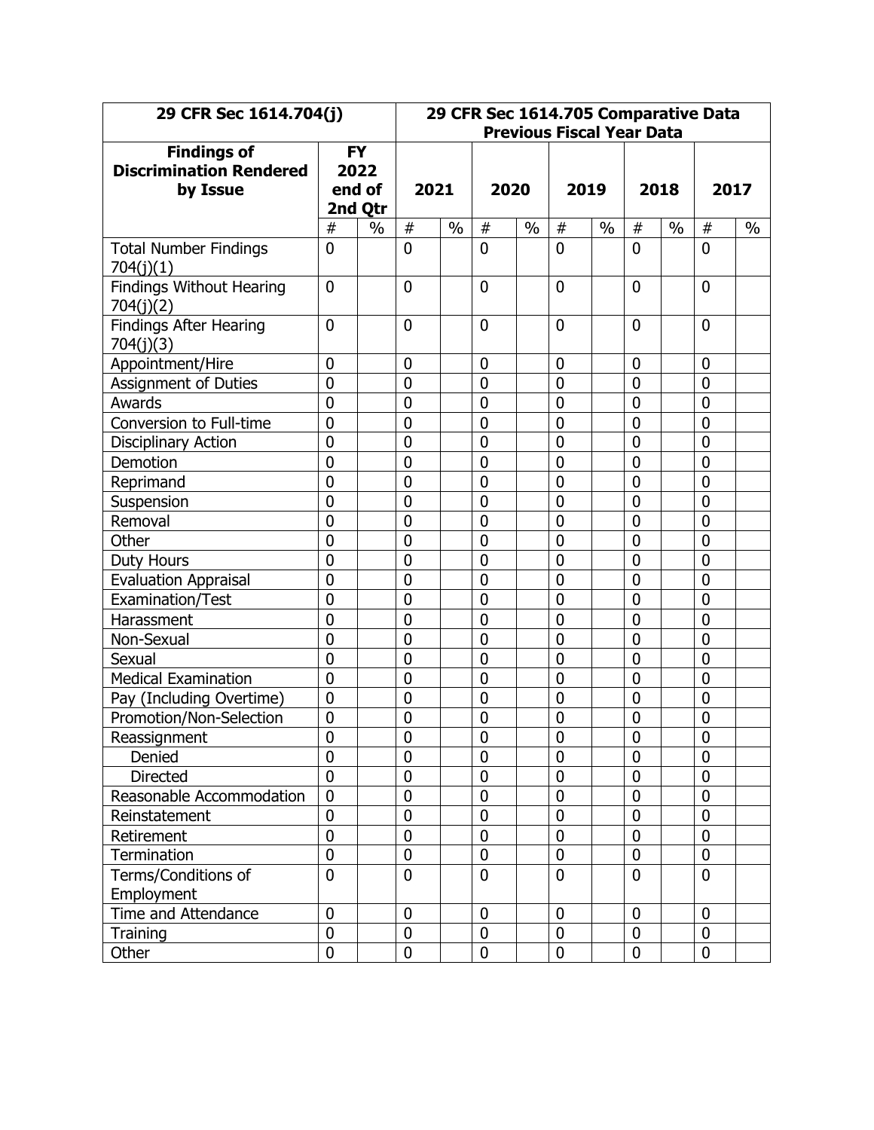| 29 CFR Sec 1614.704(j)                               |                  |                   |                  | 29 CFR Sec 1614.705 Comparative Data<br><b>Previous Fiscal Year Data</b> |                  |               |                |      |                  |      |                |      |
|------------------------------------------------------|------------------|-------------------|------------------|--------------------------------------------------------------------------|------------------|---------------|----------------|------|------------------|------|----------------|------|
| <b>Findings of</b><br><b>Discrimination Rendered</b> |                  | <b>FY</b><br>2022 |                  |                                                                          |                  |               |                |      |                  |      |                |      |
| by Issue                                             |                  | end of            | 2021             |                                                                          | 2020             |               | 2019           |      |                  | 2018 | 2017           |      |
|                                                      |                  | 2nd Qtr           |                  |                                                                          |                  |               |                |      |                  |      |                |      |
|                                                      | #                | $\frac{0}{0}$     | $\#$             | $\frac{0}{0}$                                                            | #                | $\frac{0}{0}$ | #              | $\%$ | #                | $\%$ | $\#$           | $\%$ |
| <b>Total Number Findings</b><br>704(j)(1)            | $\overline{0}$   |                   | $\overline{0}$   |                                                                          | $\overline{0}$   |               | $\overline{0}$ |      | $\mathbf 0$      |      | $\overline{0}$ |      |
| <b>Findings Without Hearing</b><br>704(j)(2)         | $\overline{0}$   |                   | $\mathbf 0$      |                                                                          | $\mathbf 0$      |               | $\mathbf 0$    |      | $\overline{0}$   |      | $\mathbf{0}$   |      |
| <b>Findings After Hearing</b><br>704(j)(3)           | $\overline{0}$   |                   | $\mathbf 0$      |                                                                          | $\mathbf 0$      |               | $\mathbf 0$    |      | $\mathbf 0$      |      | $\mathbf 0$    |      |
| Appointment/Hire                                     | $\mathbf 0$      |                   | $\mathbf 0$      |                                                                          | $\mathbf 0$      |               | $\mathbf 0$    |      | $\mathbf 0$      |      | $\mathbf 0$    |      |
| <b>Assignment of Duties</b>                          | $\overline{0}$   |                   | $\mathbf 0$      |                                                                          | $\boldsymbol{0}$ |               | 0              |      | $\overline{0}$   |      | $\mathbf 0$    |      |
| Awards                                               | $\overline{0}$   |                   | $\mathbf 0$      |                                                                          | $\mathbf 0$      |               | $\overline{0}$ |      | $\mathbf 0$      |      | 0              |      |
| Conversion to Full-time                              | $\mathbf 0$      |                   | $\mathbf 0$      |                                                                          | $\mathbf 0$      |               | $\overline{0}$ |      | $\mathbf 0$      |      | 0              |      |
| <b>Disciplinary Action</b>                           | $\overline{0}$   |                   | $\mathbf 0$      |                                                                          | $\boldsymbol{0}$ |               | $\overline{0}$ |      | $\mathbf 0$      |      | $\overline{0}$ |      |
| Demotion                                             | $\mathbf 0$      |                   | $\boldsymbol{0}$ |                                                                          | $\boldsymbol{0}$ |               | $\mathbf 0$    |      | $\mathbf 0$      |      | 0              |      |
| Reprimand                                            | $\overline{0}$   |                   | $\overline{0}$   |                                                                          | $\overline{0}$   |               | $\overline{0}$ |      | $\mathbf 0$      |      | $\mathbf{0}$   |      |
| Suspension                                           | $\mathbf 0$      |                   | $\mathbf 0$      |                                                                          | $\overline{0}$   |               | $\overline{0}$ |      | $\overline{0}$   |      | $\mathbf 0$    |      |
| Removal                                              | $\overline{0}$   |                   | $\boldsymbol{0}$ |                                                                          | $\boldsymbol{0}$ |               | $\mathbf 0$    |      | $\mathbf 0$      |      | $\mathbf 0$    |      |
| Other                                                | $\overline{0}$   |                   | $\mathbf 0$      |                                                                          | $\overline{0}$   |               | $\overline{0}$ |      | $\overline{0}$   |      | $\overline{0}$ |      |
| Duty Hours                                           | $\mathbf 0$      |                   | $\mathbf 0$      |                                                                          | $\boldsymbol{0}$ |               | $\mathbf 0$    |      | $\mathbf 0$      |      | $\mathbf 0$    |      |
| <b>Evaluation Appraisal</b>                          | $\overline{0}$   |                   | $\mathbf 0$      |                                                                          | $\mathbf 0$      |               | $\overline{0}$ |      | $\overline{0}$   |      | $\mathbf 0$    |      |
| Examination/Test                                     | $\overline{0}$   |                   | $\mathbf 0$      |                                                                          | $\boldsymbol{0}$ |               | $\overline{0}$ |      | $\overline{0}$   |      | 0              |      |
| Harassment                                           | $\mathbf 0$      |                   | $\mathbf 0$      |                                                                          | $\mathbf 0$      |               | $\overline{0}$ |      | $\mathbf 0$      |      | 0              |      |
| Non-Sexual                                           | $\overline{0}$   |                   | $\mathbf 0$      |                                                                          | $\boldsymbol{0}$ |               | $\overline{0}$ |      | $\overline{0}$   |      | $\mathbf 0$    |      |
| Sexual                                               | $\mathbf 0$      |                   | $\mathbf 0$      |                                                                          | $\mathbf 0$      |               | $\mathbf 0$    |      | $\mathbf 0$      |      | $\mathbf 0$    |      |
| <b>Medical Examination</b>                           | $\overline{0}$   |                   | $\mathbf 0$      |                                                                          | $\mathbf 0$      |               | $\mathbf 0$    |      | $\mathbf 0$      |      | $\mathbf 0$    |      |
| Pay (Including Overtime)                             | $\overline{0}$   |                   | $\mathbf 0$      |                                                                          | $\overline{0}$   |               | $\overline{0}$ |      | $\mathbf 0$      |      | $\mathbf 0$    |      |
| Promotion/Non-Selection                              | $\mathbf 0$      |                   | $\boldsymbol{0}$ |                                                                          | $\boldsymbol{0}$ |               | $\mathbf 0$    |      | $\boldsymbol{0}$ |      | $\mathbf 0$    |      |
| Reassignment                                         | $\overline{0}$   |                   | $\overline{0}$   |                                                                          | $\overline{0}$   |               | $\overline{0}$ |      | $\overline{0}$   |      | $\overline{0}$ |      |
| Denied                                               | 0                |                   | $\mathbf 0$      |                                                                          | $\mathbf 0$      |               | $\mathbf 0$    |      | $\mathbf 0$      |      | $\mathbf 0$    |      |
| Directed                                             | $\mathbf 0$      |                   | $\boldsymbol{0}$ |                                                                          | $\boldsymbol{0}$ |               | $\mathbf 0$    |      | $\boldsymbol{0}$ |      | $\mathbf 0$    |      |
| Reasonable Accommodation                             | $\mathbf 0$      |                   | $\mathbf 0$      |                                                                          | $\mathbf 0$      |               | $\pmb{0}$      |      | $\mathbf 0$      |      | $\mathbf 0$    |      |
| Reinstatement                                        | $\boldsymbol{0}$ |                   | $\mathbf 0$      |                                                                          | $\mathbf 0$      |               | $\mathbf 0$    |      | $\mathbf 0$      |      | $\mathbf 0$    |      |
| Retirement                                           | $\mathbf 0$      |                   | $\mathbf 0$      |                                                                          | $\mathbf 0$      |               | $\mathbf 0$    |      | $\mathbf 0$      |      | $\mathbf 0$    |      |
| Termination                                          | $\mathbf 0$      |                   | $\pmb{0}$        |                                                                          | $\boldsymbol{0}$ |               | 0              |      | $\boldsymbol{0}$ |      | $\pmb{0}$      |      |
| Terms/Conditions of                                  | $\overline{0}$   |                   | $\mathbf 0$      |                                                                          | $\mathbf 0$      |               | $\mathbf 0$    |      | $\mathbf 0$      |      | $\mathbf{0}$   |      |
| Employment                                           |                  |                   |                  |                                                                          |                  |               |                |      |                  |      |                |      |
| Time and Attendance                                  | $\mathbf 0$      |                   | $\mathbf 0$      |                                                                          | $\mathbf 0$      |               | $\mathbf 0$    |      | $\mathbf 0$      |      | $\mathbf 0$    |      |
| Training                                             | $\mathbf 0$      |                   | $\boldsymbol{0}$ |                                                                          | $\bf{0}$         |               | $\mathbf 0$    |      | $\pmb{0}$        |      | $\mathbf 0$    |      |
| Other                                                | $\mathbf 0$      |                   | $\mathbf 0$      |                                                                          | $\mathbf 0$      |               | $\mathbf 0$    |      | $\mathbf 0$      |      | $\mathbf 0$    |      |